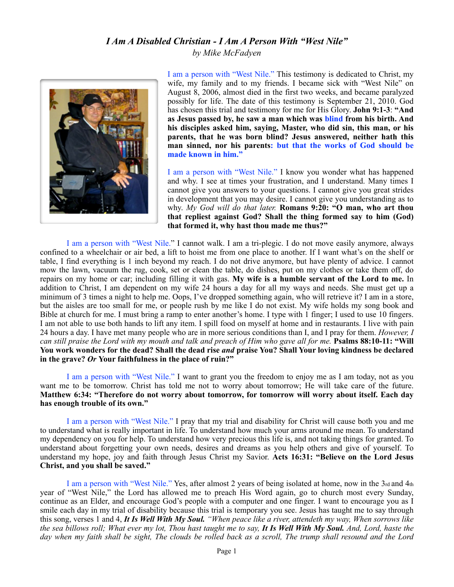## *I Am A Disabled Christian - I Am A Person With "West Nile" by Mike McFadyen*



I am a person with "West Nile." This testimony is dedicated to Christ, my wife, my family and to my friends. I became sick with "West Nile" on August 8, 2006, almost died in the first two weeks, and became paralyzed possibly for life. The date of this testimony is September 21, 2010. God has chosen this trial and testimony for me for His Glory. **John 9:1-3**: **"And as Jesus passed by, he saw a man which was blind from his birth. And his disciples asked him, saying, Master, who did sin, this man, or his parents, that he was born blind? Jesus answered, neither hath this man sinned, nor his parents: but that the works of God should be made known in him."**

I am a person with "West Nile." I know you wonder what has happened and why. I see at times your frustration, and I understand. Many times I cannot give you answers to your questions. I cannot give you great strides in development that you may desire. I cannot give you understanding as to why. *My God will do that later.* **Romans 9:20: "O man, who art thou that repliest against God? Shall the thing formed say to him (God) that formed it, why hast thou made me thus?"**

I am a person with "West Nile." I cannot walk. I am a tri-plegic. I do not move easily anymore, always confined to a wheelchair or air bed, a lift to hoist me from one place to another. If I want what's on the shelf or table, I find everything is 1 inch beyond my reach. I do not drive anymore, but have plenty of advice. I cannot mow the lawn, vacuum the rug, cook, set or clean the table, do dishes, put on my clothes or take them off, do repairs on my home or car; including filling it with gas. **My wife is a humble servant of the Lord to me.** In addition to Christ, I am dependent on my wife 24 hours a day for all my ways and needs. She must get up a minimum of 3 times a night to help me. Oops, I've dropped something again, who will retrieve it? I am in a store, but the aisles are too small for me, or people rush by me like I do not exist. My wife holds my song book and Bible at church for me. I must bring a ramp to enter another's home. I type with 1 finger; I used to use 10 fingers. I am not able to use both hands to lift any item. I spill food on myself at home and in restaurants. I live with pain 24 hours a day. I have met many people who are in more serious conditions than I, and I pray for them. *However, I can still praise the Lord with my mouth and talk and preach of Him who gave all for me.* **Psalms 88:10-11: "Will You work wonders for the dead? Shall the dead rise** *and* **praise You? Shall Your loving kindness be declared in the grave?** *Or* **Your faithfulness in the place of ruin?"**

I am a person with "West Nile." I want to grant you the freedom to enjoy me as I am today, not as you want me to be tomorrow. Christ has told me not to worry about tomorrow; He will take care of the future. **Matthew 6:34: "Therefore do not worry about tomorrow, for tomorrow will worry about itself. Each day has enough trouble of its own."**

I am a person with "West Nile." I pray that my trial and disability for Christ will cause both you and me to understand what is really important in life. To understand how much your arms around me mean. To understand my dependency on you for help. To understand how very precious this life is, and not taking things for granted. To understand about forgetting your own needs, desires and dreams as you help others and give of yourself. To understand my hope, joy and faith through Jesus Christ my Savior. **Acts 16:31: "Believe on the Lord Jesus Christ, and you shall be saved."**

I am a person with "West Nile." Yes, after almost 2 years of being isolated at home, now in the 3rd and 4th year of "West Nile," the Lord has allowed me to preach His Word again, go to church most every Sunday, continue as an Elder, and encourage God's people with a computer and one finger. I want to encourage you as I smile each day in my trial of disability because this trial is temporary you see. Jesus has taught me to say through this song, verses 1 and 4, *It Is Well With My Soul. "When peace like a river, attendeth my way, When sorrows like the sea billows roll; What ever my lot, Thou hast taught me to say, It Is Well With My Soul. And, Lord, haste the day when my faith shall be sight, The clouds be rolled back as a scroll, The trump shall resound and the Lord*